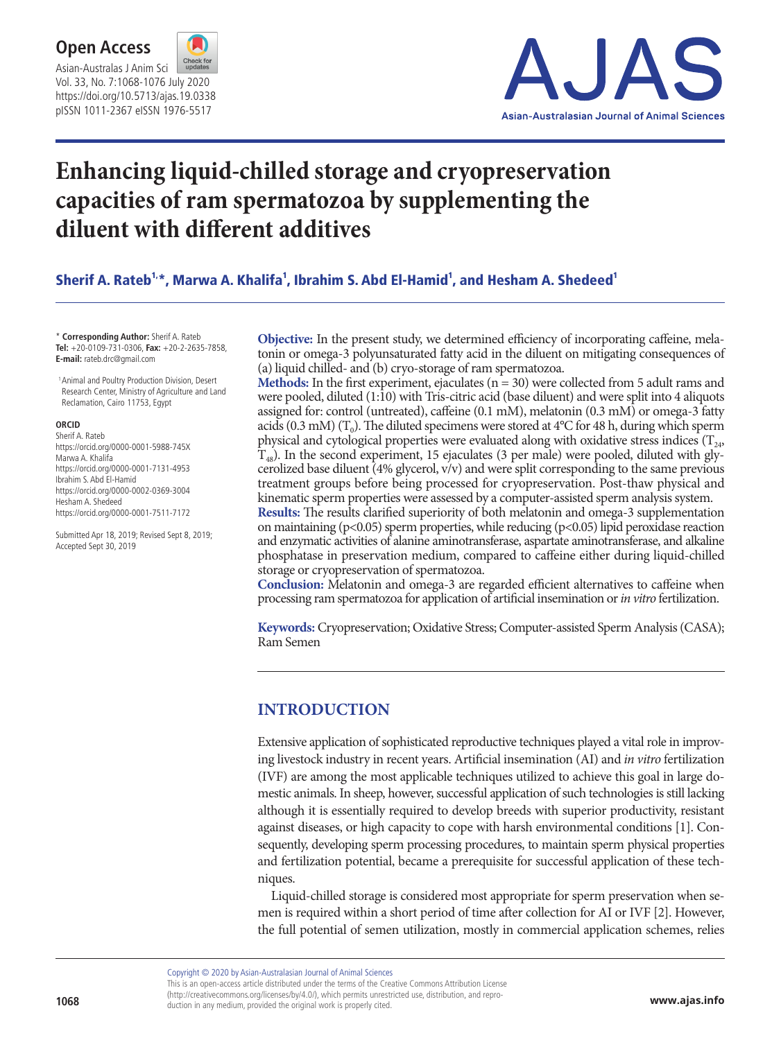



# **Enhancing liquid-chilled storage and cryopreservation capacities of ram spermatozoa by supplementing the diluent with different additives**

Sherif A. Rateb1<sub>\*</sub>, Marwa A. Khalifa<sup>1</sup>, Ibrahim S. Abd El-Hamid<sup>1</sup>, and Hesham A. Shedeed<sup>1</sup>

\* **Corresponding Author:** Sherif A. Rateb **Tel:** +20-0109-731-0306, **Fax:** +20-2-2635-7858, **E-mail:** rateb.drc@gmail.com

 1 Animal and Poultry Production Division, Desert Research Center, Ministry of Agriculture and Land Reclamation, Cairo 11753, Egypt

#### **ORCID**

Sherif A. Rateb https://orcid.org/0000-0001-5988-745X Marwa A. Khalifa https://orcid.org/0000-0001-7131-4953 Ibrahim S. Abd El-Hamid https://orcid.org/0000-0002-0369-3004 Hesham A. Shedeed https://orcid.org/0000-0001-7511-7172

Submitted Apr 18, 2019; Revised Sept 8, 2019; Accepted Sept 30, 2019

**Objective:** In the present study, we determined efficiency of incorporating caffeine, melatonin or omega-3 polyunsaturated fatty acid in the diluent on mitigating consequences of (a) liquid chilled- and (b) cryo-storage of ram spermatozoa.

**Methods:** In the first experiment, ejaculates  $(n = 30)$  were collected from 5 adult rams and were pooled, diluted (1:10) with Tris-citric acid (base diluent) and were split into 4 aliquots assigned for: control (untreated), caffeine (0.1 mM), melatonin (0.3 mM) or omega-3 fatty acids (0.3 mM) ( $T_0$ ). The diluted specimens were stored at 4 $^{\circ}$ C for 48 h, during which sperm physical and cytological properties were evaluated along with oxidative stress indices  $(T_{24},$  $T_{48}$ ). In the second experiment, 15 ejaculates (3 per male) were pooled, diluted with glycerolized base diluent (4% glycerol, v/v) and were split corresponding to the same previous treatment groups before being processed for cryopreservation. Post-thaw physical and kinematic sperm properties were assessed by a computer-assisted sperm analysis system.

**Results:** The results clarified superiority of both melatonin and omega-3 supplementation on maintaining (p<0.05) sperm properties, while reducing (p<0.05) lipid peroxidase reaction and enzymatic activities of alanine aminotransferase, aspartate aminotransferase, and alkaline phosphatase in preservation medium, compared to caffeine either during liquid-chilled storage or cryopreservation of spermatozoa.

**Conclusion:** Melatonin and omega-3 are regarded efficient alternatives to caffeine when processing ram spermatozoa for application of artificial insemination or *in vitro* fertilization.

**Keywords:** Cryopreservation; Oxidative Stress; Computer-assisted Sperm Analysis (CASA); Ram Semen

## **INTRODUCTION**

Extensive application of sophisticated reproductive techniques played a vital role in improving livestock industry in recent years. Artificial insemination (AI) and *in vitro* fertilization (IVF) are among the most applicable techniques utilized to achieve this goal in large domestic animals. In sheep, however, successful application of such technologies is still lacking although it is essentially required to develop breeds with superior productivity, resistant against diseases, or high capacity to cope with harsh environmental conditions [1]. Consequently, developing sperm processing procedures, to maintain sperm physical properties and fertilization potential, became a prerequisite for successful application of these techniques.

Liquid-chilled storage is considered most appropriate for sperm preservation when semen is required within a short period of time after collection for AI or IVF [2]. However, the full potential of semen utilization, mostly in commercial application schemes, relies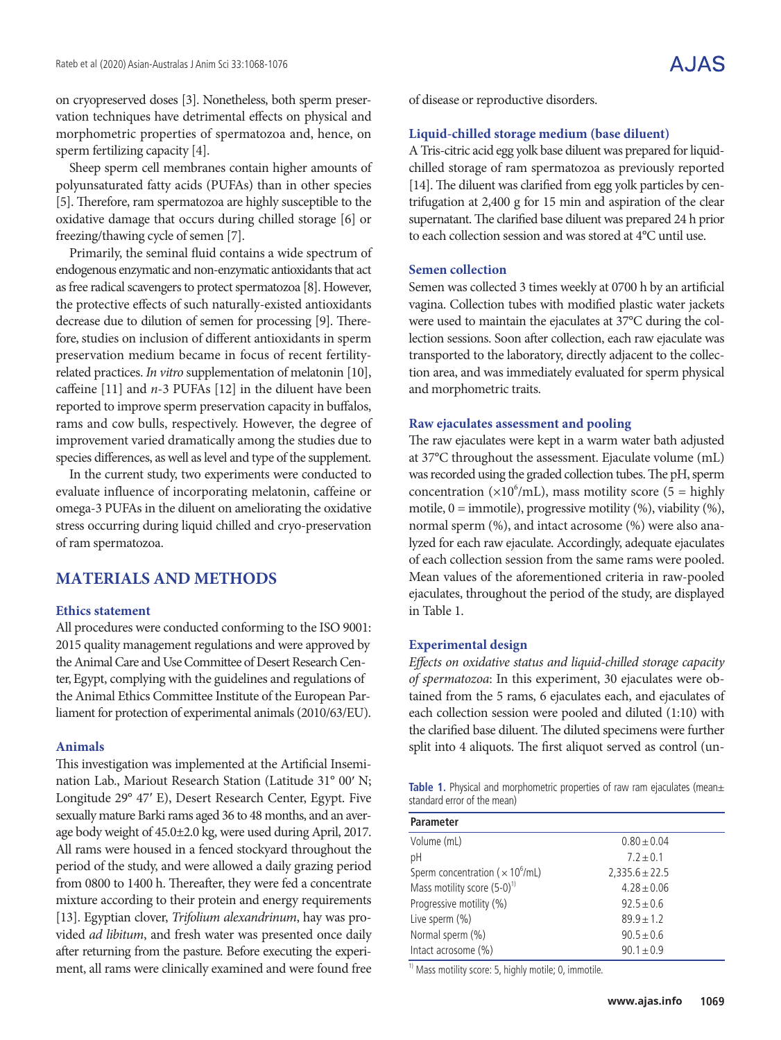on cryopreserved doses [3]. Nonetheless, both sperm preservation techniques have detrimental effects on physical and morphometric properties of spermatozoa and, hence, on sperm fertilizing capacity [4].

Sheep sperm cell membranes contain higher amounts of polyunsaturated fatty acids (PUFAs) than in other species [5]. Therefore, ram spermatozoa are highly susceptible to the oxidative damage that occurs during chilled storage [6] or freezing/thawing cycle of semen [7].

Primarily, the seminal fluid contains a wide spectrum of endogenous enzymatic and non-enzymatic antioxidants that act as free radical scavengers to protect spermatozoa [8]. However, the protective effects of such naturally-existed antioxidants decrease due to dilution of semen for processing [9]. Therefore, studies on inclusion of different antioxidants in sperm preservation medium became in focus of recent fertilityrelated practices. *In vitro* supplementation of melatonin [10], caffeine [11] and *n*-3 PUFAs [12] in the diluent have been reported to improve sperm preservation capacity in buffalos, rams and cow bulls, respectively. However, the degree of improvement varied dramatically among the studies due to species differences, as well as level and type of the supplement.

In the current study, two experiments were conducted to evaluate influence of incorporating melatonin, caffeine or omega-3 PUFAs in the diluent on ameliorating the oxidative stress occurring during liquid chilled and cryo-preservation of ram spermatozoa.

## **MATERIALS AND METHODS**

#### **Ethics statement**

All procedures were conducted conforming to the ISO 9001: 2015 quality management regulations and were approved by the Animal Care and Use Committee of Desert Research Center, Egypt, complying with the guidelines and regulations of the Animal Ethics Committee Institute of the European Parliament for protection of experimental animals (2010/63/EU).

#### **Animals**

This investigation was implemented at the Artificial Insemination Lab., Mariout Research Station (Latitude 31° 00′ N; Longitude 29° 47′ E), Desert Research Center, Egypt. Five sexually mature Barki rams aged 36 to 48 months, and an average body weight of 45.0±2.0 kg, were used during April, 2017. All rams were housed in a fenced stockyard throughout the period of the study, and were allowed a daily grazing period from 0800 to 1400 h. Thereafter, they were fed a concentrate mixture according to their protein and energy requirements [13]. Egyptian clover, *Trifolium alexandrinum*, hay was provided *ad libitum*, and fresh water was presented once daily after returning from the pasture. Before executing the experiment, all rams were clinically examined and were found free of disease or reproductive disorders.

#### **Liquid-chilled storage medium (base diluent)**

A Tris-citric acid egg yolk base diluent was prepared for liquidchilled storage of ram spermatozoa as previously reported [14]. The diluent was clarified from egg yolk particles by centrifugation at 2,400 g for 15 min and aspiration of the clear supernatant. The clarified base diluent was prepared 24 h prior to each collection session and was stored at 4°C until use.

#### **Semen collection**

Semen was collected 3 times weekly at 0700 h by an artificial vagina. Collection tubes with modified plastic water jackets were used to maintain the ejaculates at 37°C during the collection sessions. Soon after collection, each raw ejaculate was transported to the laboratory, directly adjacent to the collection area, and was immediately evaluated for sperm physical and morphometric traits.

#### **Raw ejaculates assessment and pooling**

The raw ejaculates were kept in a warm water bath adjusted at 37°C throughout the assessment. Ejaculate volume (mL) was recorded using the graded collection tubes. The pH, sperm concentration ( $\times 10^6$ /mL), mass motility score (5 = highly motile,  $0 =$  immotile), progressive motility  $(\%)$ , viability  $(\%)$ , normal sperm (%), and intact acrosome (%) were also analyzed for each raw ejaculate. Accordingly, adequate ejaculates of each collection session from the same rams were pooled. Mean values of the aforementioned criteria in raw-pooled ejaculates, throughout the period of the study, are displayed in Table 1.

#### **Experimental design**

*Effects on oxidative status and liquid-chilled storage capacity of spermatozoa*: In this experiment, 30 ejaculates were obtained from the 5 rams, 6 ejaculates each, and ejaculates of each collection session were pooled and diluted (1:10) with the clarified base diluent. The diluted specimens were further split into 4 aliquots. The first aliquot served as control (un-

Table 1. Physical and morphometric properties of raw ram ejaculates (mean± standard error of the mean)

| Parameter                                           |                    |
|-----------------------------------------------------|--------------------|
| Volume (mL)                                         | $0.80 \pm 0.04$    |
| рH                                                  | $7.2 + 0.1$        |
| Sperm concentration ( $\times$ 10 <sup>6</sup> /mL) | $2,335.6 \pm 22.5$ |
| Mass motility score $(5-0)^{1}$                     | $4.28 \pm 0.06$    |
| Progressive motility (%)                            | $92.5 \pm 0.6$     |
| Live sperm $(\% )$                                  | $89.9 \pm 1.2$     |
| Normal sperm (%)                                    | $90.5 \pm 0.6$     |
| Intact acrosome (%)                                 | $90.1 \pm 0.9$     |

 $1)$  Mass motility score: 5, highly motile; 0, immotile.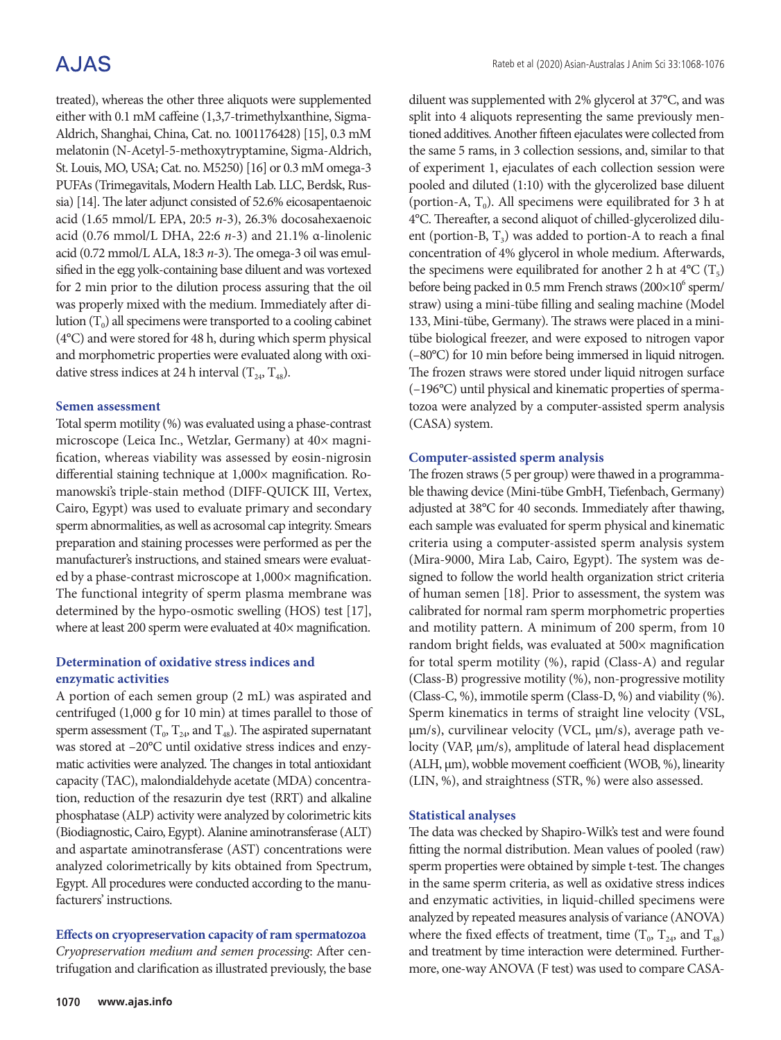# **AJAS**

treated), whereas the other three aliquots were supplemented either with 0.1 mM caffeine (1,3,7-trimethylxanthine, Sigma-Aldrich, Shanghai, China, Cat. no. 1001176428) [15], 0.3 mM melatonin (N-Acetyl-5-methoxytryptamine, Sigma-Aldrich, St. Louis, MO, USA; Cat. no. M5250) [16] or 0.3 mM omega-3 PUFAs (Trimegavitals, Modern Health Lab. LLC, Berdsk, Russia) [14]. The later adjunct consisted of 52.6% eicosapentaenoic acid (1.65 mmol/L EPA, 20:5 *n*-3), 26.3% docosahexaenoic acid (0.76 mmol/L DHA, 22:6 *n*-3) and 21.1% α-linolenic acid (0.72 mmol/L ALA, 18:3 *n*-3). The omega-3 oil was emulsified in the egg yolk-containing base diluent and was vortexed for 2 min prior to the dilution process assuring that the oil was properly mixed with the medium. Immediately after dilution  $(T_0)$  all specimens were transported to a cooling cabinet (4°C) and were stored for 48 h, during which sperm physical and morphometric properties were evaluated along with oxidative stress indices at 24 h interval  $(T_{24}, T_{48})$ .

#### **Semen assessment**

Total sperm motility (%) was evaluated using a phase-contrast microscope (Leica Inc., Wetzlar, Germany) at 40× magnification, whereas viability was assessed by eosin-nigrosin differential staining technique at 1,000× magnification. Romanowski's triple-stain method (DIFF-QUICK III, Vertex, Cairo, Egypt) was used to evaluate primary and secondary sperm abnormalities, as well as acrosomal cap integrity. Smears preparation and staining processes were performed as per the manufacturer's instructions, and stained smears were evaluated by a phase-contrast microscope at 1,000× magnification. The functional integrity of sperm plasma membrane was determined by the hypo-osmotic swelling (HOS) test [17], where at least 200 sperm were evaluated at  $40\times$  magnification.

### **Determination of oxidative stress indices and enzymatic activities**

A portion of each semen group (2 mL) was aspirated and centrifuged (1,000 g for 10 min) at times parallel to those of sperm assessment ( $T_0$ ,  $T_{24}$ , and  $T_{48}$ ). The aspirated supernatant was stored at –20°C until oxidative stress indices and enzymatic activities were analyzed. The changes in total antioxidant capacity (TAC), malondialdehyde acetate (MDA) concentration, reduction of the resazurin dye test (RRT) and alkaline phosphatase (ALP) activity were analyzed by colorimetric kits (Biodiagnostic, Cairo, Egypt). Alanine aminotransferase (ALT) and aspartate aminotransferase (AST) concentrations were analyzed colorimetrically by kits obtained from Spectrum, Egypt. All procedures were conducted according to the manufacturers' instructions.

#### **Effects on cryopreservation capacity of ram spermatozoa**

*Cryopreservation medium and semen processing*: After centrifugation and clarification as illustrated previously, the base diluent was supplemented with 2% glycerol at 37°C, and was split into 4 aliquots representing the same previously mentioned additives. Another fifteen ejaculates were collected from the same 5 rams, in 3 collection sessions, and, similar to that of experiment 1, ejaculates of each collection session were pooled and diluted (1:10) with the glycerolized base diluent (portion-A,  $T_0$ ). All specimens were equilibrated for 3 h at 4°C. Thereafter, a second aliquot of chilled-glycerolized diluent (portion-B,  $T_3$ ) was added to portion-A to reach a final concentration of 4% glycerol in whole medium. Afterwards, the specimens were equilibrated for another 2 h at  $4^{\circ}C(T_5)$ before being packed in 0.5 mm French straws (200×10<sup>6</sup> sperm/ straw) using a mini-tübe filling and sealing machine (Model 133, Mini-tübe, Germany). The straws were placed in a minitübe biological freezer, and were exposed to nitrogen vapor (–80°C) for 10 min before being immersed in liquid nitrogen. The frozen straws were stored under liquid nitrogen surface (–196°C) until physical and kinematic properties of spermatozoa were analyzed by a computer-assisted sperm analysis (CASA) system.

### **Computer-assisted sperm analysis**

The frozen straws (5 per group) were thawed in a programmable thawing device (Mini-tübe GmbH, Tiefenbach, Germany) adjusted at 38°C for 40 seconds. Immediately after thawing, each sample was evaluated for sperm physical and kinematic criteria using a computer-assisted sperm analysis system (Mira-9000, Mira Lab, Cairo, Egypt). The system was designed to follow the world health organization strict criteria of human semen [18]. Prior to assessment, the system was calibrated for normal ram sperm morphometric properties and motility pattern. A minimum of 200 sperm, from 10 random bright fields, was evaluated at 500× magnification for total sperm motility (%), rapid (Class-A) and regular (Class-B) progressive motility (%), non-progressive motility (Class-C, %), immotile sperm (Class-D, %) and viability (%). Sperm kinematics in terms of straight line velocity (VSL, μm/s), curvilinear velocity (VCL, μm/s), average path velocity (VAP, μm/s), amplitude of lateral head displacement (ALH, μm), wobble movement coefficient (WOB, %), linearity (LIN, %), and straightness (STR, %) were also assessed.

#### **Statistical analyses**

The data was checked by Shapiro-Wilk's test and were found fitting the normal distribution. Mean values of pooled (raw) sperm properties were obtained by simple t-test. The changes in the same sperm criteria, as well as oxidative stress indices and enzymatic activities, in liquid-chilled specimens were analyzed by repeated measures analysis of variance (ANOVA) where the fixed effects of treatment, time  $(T_0, T_{24}, \text{ and } T_{48})$ and treatment by time interaction were determined. Furthermore, one-way ANOVA (F test) was used to compare CASA-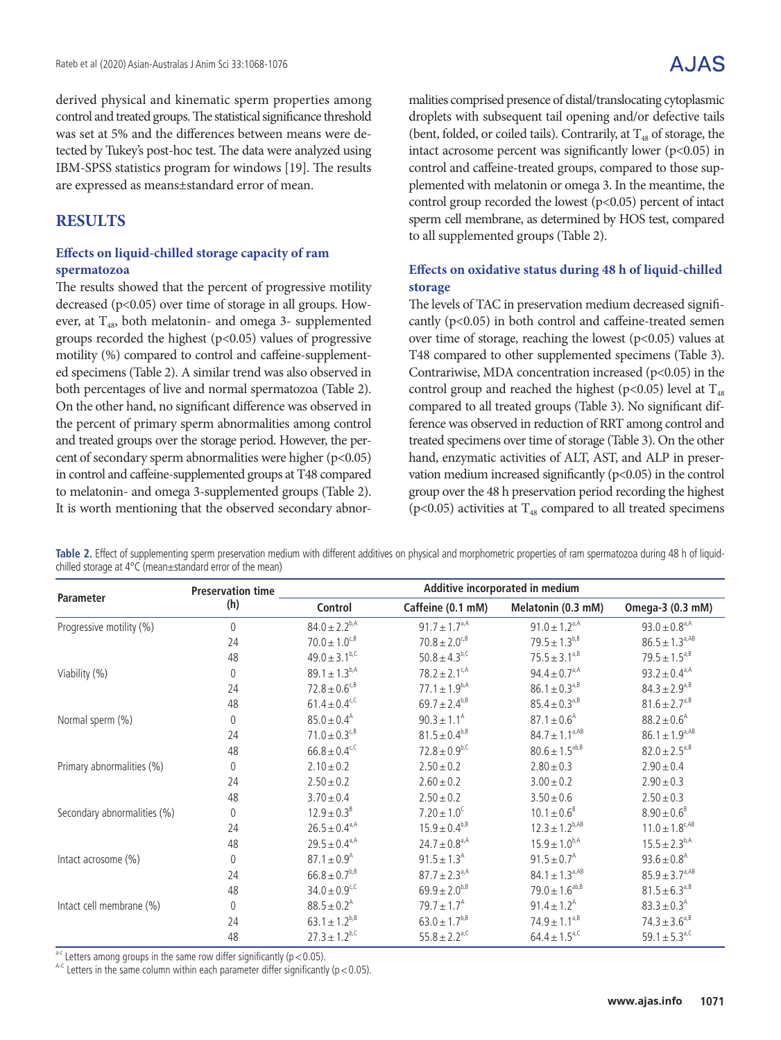derived physical and kinematic sperm properties among control and treated groups. The statistical significance threshold was set at 5% and the differences between means were detected by Tukey's post-hoc test. The data were analyzed using IBM-SPSS statistics program for windows [19]. The results are expressed as means±standard error of mean.

# **RESULTS**

### **Effects on liquid-chilled storage capacity of ram spermatozoa**

The results showed that the percent of progressive motility decreased (p<0.05) over time of storage in all groups. However, at  $T_{48}$ , both melatonin- and omega 3- supplemented groups recorded the highest (p<0.05) values of progressive motility (%) compared to control and caffeine-supplemented specimens (Table 2). A similar trend was also observed in both percentages of live and normal spermatozoa (Table 2). On the other hand, no significant difference was observed in the percent of primary sperm abnormalities among control and treated groups over the storage period. However, the percent of secondary sperm abnormalities were higher (p<0.05) in control and caffeine-supplemented groups at T48 compared to melatonin- and omega 3-supplemented groups (Table 2). It is worth mentioning that the observed secondary abnormalities comprised presence of distal/translocating cytoplasmic droplets with subsequent tail opening and/or defective tails (bent, folded, or coiled tails). Contrarily, at  $T_{48}$  of storage, the intact acrosome percent was significantly lower ( $p$ <0.05) in control and caffeine-treated groups, compared to those supplemented with melatonin or omega 3. In the meantime, the control group recorded the lowest  $(p<0.05)$  percent of intact sperm cell membrane, as determined by HOS test, compared to all supplemented groups (Table 2).

## **Effects on oxidative status during 48 h of liquid-chilled storage**

The levels of TAC in preservation medium decreased significantly (p<0.05) in both control and caffeine-treated semen over time of storage, reaching the lowest  $(p<0.05)$  values at T48 compared to other supplemented specimens (Table 3). Contrariwise, MDA concentration increased  $(p<0.05)$  in the control group and reached the highest (p<0.05) level at  $T_{48}$ compared to all treated groups (Table 3). No significant difference was observed in reduction of RRT among control and treated specimens over time of storage (Table 3). On the other hand, enzymatic activities of ALT, AST, and ALP in preservation medium increased significantly  $(p<0.05)$  in the control group over the 48 h preservation period recording the highest ( $p$ <0.05) activities at  $T_{48}$  compared to all treated specimens

**Table 2.** Effect of supplementing sperm preservation medium with different additives on physical and morphometric properties of ram spermatozoa during 48 h of liquidchilled storage at 4°C (mean±standard error of the mean)

| <b>Parameter</b>            | <b>Preservation time</b> | Additive incorporated in medium |                               |                               |                               |
|-----------------------------|--------------------------|---------------------------------|-------------------------------|-------------------------------|-------------------------------|
|                             | (h)                      | Control                         | Caffeine (0.1 mM)             | Melatonin (0.3 mM)            | Omega-3 (0.3 mM)              |
| Progressive motility (%)    | $\theta$                 | $84.0 \pm 2.2^{b,A}$            | $91.7 \pm 1.7^{a,A}$          | $91.0 \pm 1.2$ <sup>a,A</sup> | $93.0 \pm 0.8$ <sup>a,A</sup> |
|                             | 24                       | $70.0 \pm 1.0^{c,B}$            | $70.8 \pm 2.0^{c, B}$         | $79.5 \pm 1.3^{b,B}$          | $86.5 \pm 1.3^{a,AB}$         |
|                             | 48                       | $49.0 \pm 3.1^{b,C}$            | $50.8 \pm 4.3^{b,C}$          | $75.5 \pm 3.1^{\text{a,B}}$   | $79.5 \pm 1.5^{a,B}$          |
| Viability (%)               | 0                        | $89.1 \pm 1.3^{b,A}$            | $78.2 \pm 2.1$ <sup>c/A</sup> | 94.4 ± $0.7^{\text{a,A}}$     | $93.2 \pm 0.4^{a,A}$          |
|                             | 24                       | $72.8 \pm 0.6$ <sup>c,B</sup>   | $77.1 \pm 1.9^{b,A}$          | $86.1 \pm 0.3^{a,B}$          | $84.3 \pm 2.9^{a,B}$          |
|                             | 48                       | $61.4 \pm 0.4$ <sup>c,C</sup>   | $69.7 \pm 2.4^{b,B}$          | $85.4 \pm 0.3^{a,B}$          | $81.6 \pm 2.7$ <sup>a,B</sup> |
| Normal sperm (%)            | $\theta$                 | $85.0 \pm 0.4$ <sup>A</sup>     | $90.3 \pm 1.1^{\circ}$        | $87.1 \pm 0.6^{\circ}$        | $88.2 \pm 0.6^{\circ}$        |
|                             | 24                       | $71.0 \pm 0.3^{\text{c,B}}$     | $81.5 \pm 0.4^{b, B}$         | $84.7 \pm 1.1^{a,AB}$         | $86.1 \pm 1.9^{a,AB}$         |
|                             | 48                       | $66.8 \pm 0.4$ <sup>c,C</sup>   | $72.8 \pm 0.9^{b,C}$          | $80.6 \pm 1.5^{ab, B}$        | $82.0 \pm 2.5^{a,B}$          |
| Primary abnormalities (%)   | $\theta$                 | $2.10 \pm 0.2$                  | $2.50 + 0.2$                  | $2.80 \pm 0.3$                | $2.90 + 0.4$                  |
|                             | 24                       | $2.50 \pm 0.2$                  | $2.60 \pm 0.2$                | $3.00 \pm 0.2$                | $2.90 \pm 0.3$                |
|                             | 48                       | $3.70 \pm 0.4$                  | $2.50 \pm 0.2$                | $3.50 \pm 0.6$                | $2.50 \pm 0.3$                |
| Secondary abnormalities (%) | $\overline{0}$           | $12.9 \pm 0.3^8$                | $7.20 \pm 1.0^{\circ}$        | $10.1 \pm 0.6^8$              | $8.90 \pm 0.6^8$              |
|                             | 24                       | $26.5 \pm 0.4^{a,A}$            | $15.9 \pm 0.4^{b, B}$         | $12.3 \pm 1.2^{b,AB}$         | $11.0 \pm 1.8^{c,AB}$         |
|                             | 48                       | $29.5 \pm 0.4^{a,A}$            | $24.7 \pm 0.8$ <sup>a,A</sup> | $15.9 \pm 1.0^{b,A}$          | $15.5 \pm 2.3^{b,A}$          |
| Intact acrosome (%)         | $\theta$                 | $87.1 \pm 0.9$ <sup>A</sup>     | $91.5 \pm 1.3^{\circ}$        | $91.5 \pm 0.7$ <sup>A</sup>   | $93.6 \pm 0.8$ <sup>A</sup>   |
|                             | 24                       | $66.8 \pm 0.7^{b, B}$           | $87.7 \pm 2.3$ <sup>a,A</sup> | $84.1 \pm 1.3^{a,AB}$         | $85.9 \pm 3.7^{a,AB}$         |
|                             | 48                       | $34.0 \pm 0.9$ <sup>c,C</sup>   | $69.9 \pm 2.0^{b, B}$         | $79.0 \pm 1.6^{ab, B}$        | $81.5 \pm 6.3^{a,B}$          |
| Intact cell membrane (%)    | $\theta$                 | $88.5 \pm 0.2^{\text{A}}$       | $79.7 \pm 1.7^{\circ}$        | $91.4 \pm 1.2^{\text{A}}$     | $83.3 \pm 0.3^{\text{A}}$     |
|                             | 24                       | $63.1 \pm 1.2^{b,B}$            | $63.0 \pm 1.7^{b,B}$          | $74.9 \pm 1.1^{a,B}$          | $74.3 \pm 3.6^{a,B}$          |
|                             | 48                       | $27.3 \pm 1.2^{b,C}$            | $55.8 \pm 2.2$ <sup>a,C</sup> | $64.4 \pm 1.5$ <sup>a,C</sup> | 59.1 $\pm$ 5.3 <sup>a,C</sup> |

 $a-c$  Letters among groups in the same row differ significantly (p < 0.05).

 $A-C$  Letters in the same column within each parameter differ significantly (p < 0.05).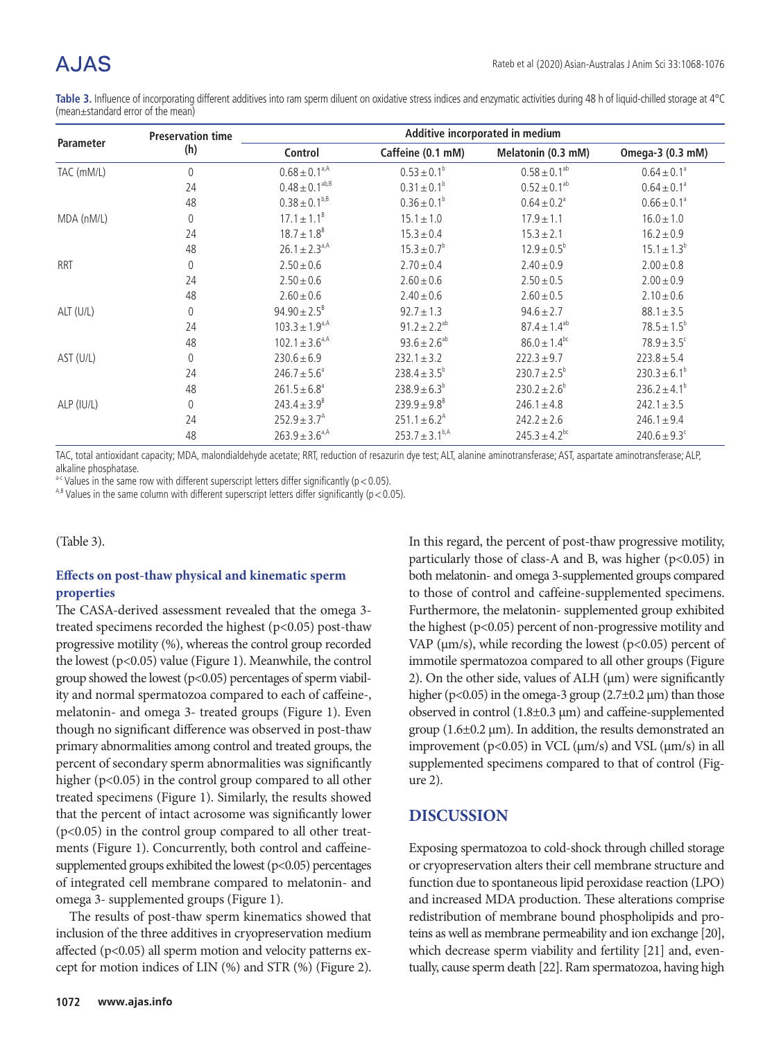# A.JAS

Table 3. Influence of incorporating different additives into ram sperm diluent on oxidative stress indices and enzymatic activities during 48 h of liquid-chilled storage at 4°C (mean±standard error of the mean)

| Parameter  | <b>Preservation time</b><br>(h) |                               | Additive incorporated in medium |                               |                              |  |
|------------|---------------------------------|-------------------------------|---------------------------------|-------------------------------|------------------------------|--|
|            |                                 | Control                       | Caffeine (0.1 mM)               | Melatonin (0.3 mM)            | Omega-3 (0.3 mM)             |  |
| TAC (mM/L) | $\mathbf 0$                     | $0.68 \pm 0.1$ <sup>a,A</sup> | $0.53 \pm 0.1^{\circ}$          | $0.58 \pm 0.1^{ab}$           | $0.64 \pm 0.1^{\circ}$       |  |
|            | 24                              | $0.48 \pm 0.1^{ab, B}$        | $0.31 \pm 0.1^b$                | $0.52 \pm 0.1^{ab}$           | $0.64 \pm 0.1^{\circ}$       |  |
|            | 48                              | $0.38 \pm 0.1^{b, B}$         | $0.36 \pm 0.1^b$                | $0.64 \pm 0.2$ <sup>a</sup>   | $0.66 \pm 0.1$ <sup>a</sup>  |  |
| MDA (nM/L) | 0                               | $17.1 \pm 1.1^B$              | $15.1 \pm 1.0$                  | $17.9 \pm 1.1$                | $16.0 \pm 1.0$               |  |
|            | 24                              | $18.7 \pm 1.8^8$              | $15.3 \pm 0.4$                  | $15.3 \pm 2.1$                | $16.2 \pm 0.9$               |  |
|            | 48                              | $26.1 \pm 2.3$ <sup>a,A</sup> | $15.3 \pm 0.7^{\circ}$          | $12.9 \pm 0.5^{\circ}$        | $15.1 \pm 1.3^b$             |  |
| <b>RRT</b> | 0                               | $2.50 \pm 0.6$                | $2.70 \pm 0.4$                  | $2.40 \pm 0.9$                | $2.00 \pm 0.8$               |  |
|            | 24                              | $2.50 \pm 0.6$                | $2.60 \pm 0.6$                  | $2.50 \pm 0.5$                | $2.00 \pm 0.9$               |  |
|            | 48                              | $2.60 \pm 0.6$                | $2.40 \pm 0.6$                  | $2.60 \pm 0.5$                | $2.10 \pm 0.6$               |  |
| ALT (U/L)  | 0                               | $94.90 \pm 2.5^8$             | $92.7 \pm 1.3$                  | $94.6 \pm 2.7$                | $88.1 \pm 3.5$               |  |
|            | 24                              | $103.3 \pm 1.9^{a,A}$         | $91.2 \pm 2.2^{ab}$             | $87.4 \pm 1.4^{ab}$           | $78.5 \pm 1.5^{\circ}$       |  |
|            | 48                              | $102.1 \pm 3.6^{\text{a,A}}$  | $93.6 \pm 2.6^{ab}$             | $86.0 \pm 1.4$ <sup>bc</sup>  | $78.9 \pm 3.5^{\circ}$       |  |
| AST (U/L)  | $\theta$                        | $230.6 \pm 6.9$               | $232.1 \pm 3.2$                 | $222.3 \pm 9.7$               | $223.8 \pm 5.4$              |  |
|            | 24                              | $246.7 \pm 5.6^a$             | $238.4 \pm 3.5^b$               | $230.7 \pm 2.5^b$             | $230.3 \pm 6.1^b$            |  |
|            | 48                              | $261.5 \pm 6.8^a$             | $238.9 \pm 6.3^b$               | $230.2 \pm 2.6^b$             | $236.2 \pm 4.1^b$            |  |
| ALP (IU/L) | $\theta$                        | $243.4 \pm 3.9^8$             | $239.9 \pm 9.8^8$               | $246.1 \pm 4.8$               | $242.1 \pm 3.5$              |  |
|            | 24                              | $252.9 + 3.7A$                | $251.1 \pm 6.2^{\circ}$         | $242.2 \pm 2.6$               | $246.1 \pm 9.4$              |  |
|            | 48                              | $263.9 \pm 3.6^{\text{a,A}}$  | $253.7 \pm 3.1^{b,A}$           | $245.3 \pm 4.2$ <sup>bc</sup> | $240.6 \pm 9.3$ <sup>c</sup> |  |

TAC, total antioxidant capacity; MDA, malondialdehyde acetate; RRT, reduction of resazurin dye test; ALT, alanine aminotransferase; AST, aspartate aminotransferase; ALP, alkaline phosphatase.

 $a-c$  Values in the same row with different superscript letters differ significantly ( $p < 0.05$ ).

<sup>A,B</sup> Values in the same column with different superscript letters differ significantly (p < 0.05).

(Table 3).

### **Effects on post-thaw physical and kinematic sperm properties**

The CASA-derived assessment revealed that the omega 3treated specimens recorded the highest  $(p<0.05)$  post-thaw progressive motility (%), whereas the control group recorded the lowest (p<0.05) value (Figure 1). Meanwhile, the control group showed the lowest (p<0.05) percentages of sperm viability and normal spermatozoa compared to each of caffeine-, melatonin- and omega 3- treated groups (Figure 1). Even though no significant difference was observed in post-thaw primary abnormalities among control and treated groups, the percent of secondary sperm abnormalities was significantly higher (p<0.05) in the control group compared to all other treated specimens (Figure 1). Similarly, the results showed that the percent of intact acrosome was significantly lower (p<0.05) in the control group compared to all other treatments (Figure 1). Concurrently, both control and caffeinesupplemented groups exhibited the lowest  $(p<0.05)$  percentages of integrated cell membrane compared to melatonin- and omega 3- supplemented groups (Figure 1).

The results of post-thaw sperm kinematics showed that inclusion of the three additives in cryopreservation medium affected (p<0.05) all sperm motion and velocity patterns except for motion indices of LIN (%) and STR (%) (Figure 2).

In this regard, the percent of post-thaw progressive motility, particularly those of class-A and B, was higher (p<0.05) in both melatonin- and omega 3-supplemented groups compared to those of control and caffeine-supplemented specimens. Furthermore, the melatonin- supplemented group exhibited the highest (p<0.05) percent of non-progressive motility and VAP ( $\mu$ m/s), while recording the lowest ( $p$ <0.05) percent of immotile spermatozoa compared to all other groups (Figure 2). On the other side, values of ALH (μm) were significantly higher ( $p<0.05$ ) in the omega-3 group ( $2.7\pm0.2$   $\mu$ m) than those observed in control (1.8±0.3 μm) and caffeine-supplemented group (1.6±0.2 μm). In addition, the results demonstrated an improvement ( $p$ <0.05) in VCL ( $\mu$ m/s) and VSL ( $\mu$ m/s) in all supplemented specimens compared to that of control (Figure 2).

## **DISCUSSION**

Exposing spermatozoa to cold-shock through chilled storage or cryopreservation alters their cell membrane structure and function due to spontaneous lipid peroxidase reaction (LPO) and increased MDA production. These alterations comprise redistribution of membrane bound phospholipids and proteins as well as membrane permeability and ion exchange [20], which decrease sperm viability and fertility [21] and, eventually, cause sperm death [22]. Ram spermatozoa, having high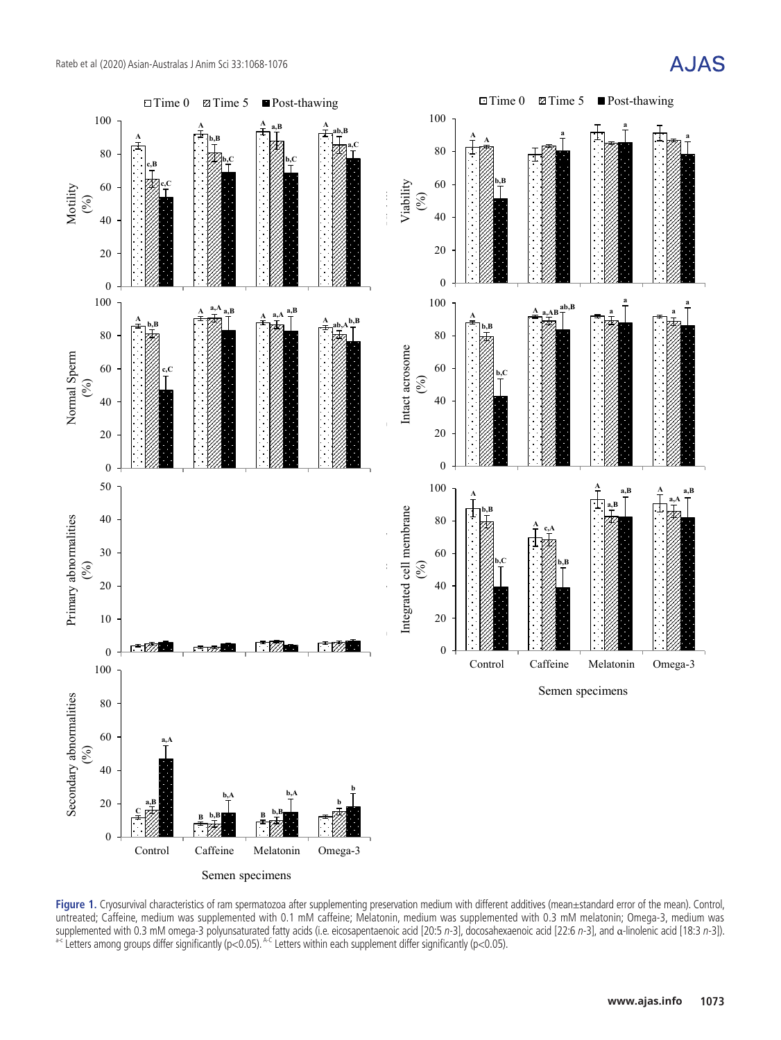

Semen specimens Semen specimens

**Figure 1.** Cryosurvival characteristics of ram spermatozoa after supplementing preservation medium with different additives (mean±standard error of the mean). Control, including was cupplementing preservation was cuppleme untreated; Caffeine, medium was supplemented with 0.1 mM caffeine; Melatonin, medium was supplemented with 0.3 mM melatonin; Omega-3, medium was supplemented with 0.3 mM omega-3 polyunsaturated fatty acids (i.e. eicosapentaenoic acid [20:5 n-3], docosahexaenoic acid [22:6 n-3], and α-linolenic acid [18:3 n-3]).<br>supplemented with 0.3 mM omega-3 polyunsaturated fatt

# **AJAS**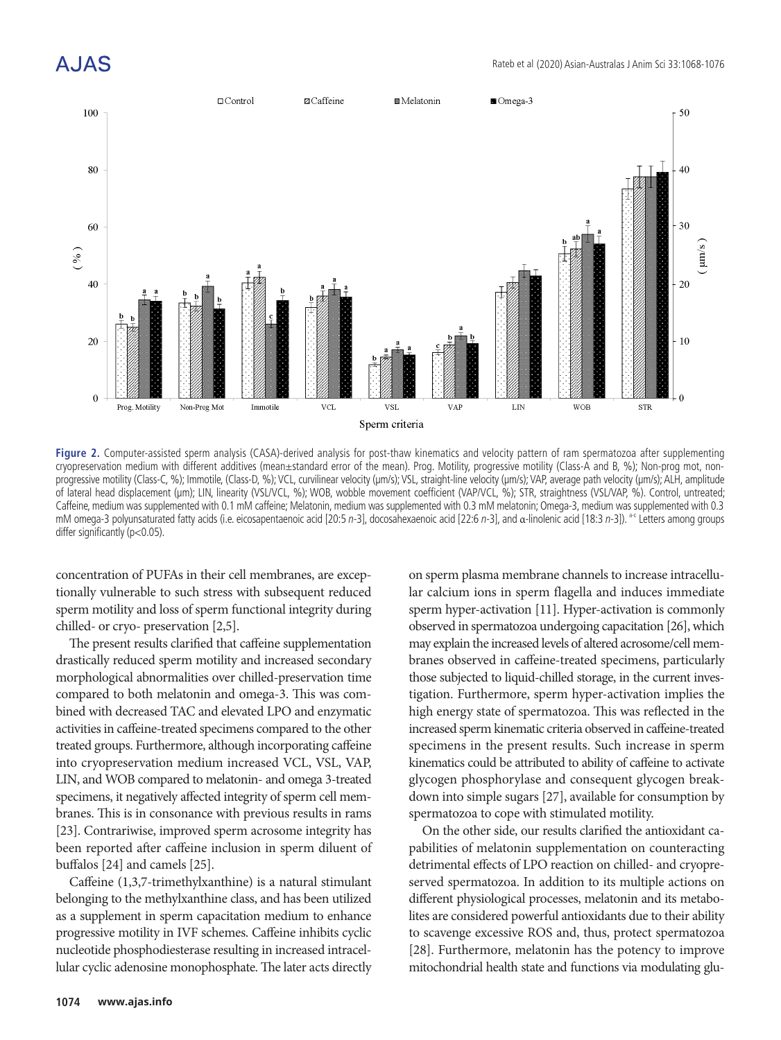# A.JAS

![](_page_6_Figure_2.jpeg)

**Figure 2.** Computer-assisted sperm analysis (CASA)-derived analysis for post-thaw kinematics and velocity pattern of ram spermatozoa after supplementing cryopreservation medium with different additives (mean±standard error of the mean). Prog. Motility, progressive motility (Class-A and B, %); Non-prog mot, nonprogressive motility (Class-C, %); Immotile, (Class-D, %); VCL, curvilinear velocity (μm/s); VSL, straight-line velocity (μm/s); VAP, average path velocity (μm/s); ALH, amplitude of lateral head displacement (μm); LIN, linearity (VSL/VCL, %); WOB, wobble movement coefficient (VAP/VCL, %); STR, straightness (VSL/VAP, %). Control, untreated; Caffeine, medium was supplemented with 0.1 mM caffeine; Melatonin, medium was supplemented with 0.3 mM melatonin; Omega-3, medium was supplemented with 0.3 mM omega-3 polyunsaturated fatty acids (i.e. eicosapentaenoic acid [20:5 n-3], docosahexaenoic acid [22:6 n-3], and α-linolenic acid [18:3 n-3]). <sup>a-c</sup> Letters among groups differ significantly (p<0.05).

concentration of PUFAs in their cell membranes, are exceptionally vulnerable to such stress with subsequent reduced sperm motility and loss of sperm functional integrity during chilled- or cryo- preservation [2,5].

The present results clarified that caffeine supplementation drastically reduced sperm motility and increased secondary morphological abnormalities over chilled-preservation time compared to both melatonin and omega-3. This was combined with decreased TAC and elevated LPO and enzymatic activities in caffeine-treated specimens compared to the other treated groups. Furthermore, although incorporating caffeine into cryopreservation medium increased VCL, VSL, VAP, LIN, and WOB compared to melatonin- and omega 3-treated specimens, it negatively affected integrity of sperm cell membranes. This is in consonance with previous results in rams [23]. Contrariwise, improved sperm acrosome integrity has been reported after caffeine inclusion in sperm diluent of buffalos [24] and camels [25].

Caffeine (1,3,7-trimethylxanthine) is a natural stimulant belonging to the methylxanthine class, and has been utilized as a supplement in sperm capacitation medium to enhance progressive motility in IVF schemes. Caffeine inhibits cyclic nucleotide phosphodiesterase resulting in increased intracellular cyclic adenosine monophosphate. The later acts directly

on sperm plasma membrane channels to increase intracellular calcium ions in sperm flagella and induces immediate sperm hyper-activation [11]. Hyper-activation is commonly observed in spermatozoa undergoing capacitation [26], which may explain the increased levels of altered acrosome/cell membranes observed in caffeine-treated specimens, particularly those subjected to liquid-chilled storage, in the current investigation. Furthermore, sperm hyper-activation implies the high energy state of spermatozoa. This was reflected in the increased sperm kinematic criteria observed in caffeine-treated specimens in the present results. Such increase in sperm kinematics could be attributed to ability of caffeine to activate glycogen phosphorylase and consequent glycogen breakdown into simple sugars [27], available for consumption by spermatozoa to cope with stimulated motility.

On the other side, our results clarified the antioxidant capabilities of melatonin supplementation on counteracting detrimental effects of LPO reaction on chilled- and cryopreserved spermatozoa. In addition to its multiple actions on different physiological processes, melatonin and its metabolites are considered powerful antioxidants due to their ability to scavenge excessive ROS and, thus, protect spermatozoa [28]. Furthermore, melatonin has the potency to improve mitochondrial health state and functions via modulating glu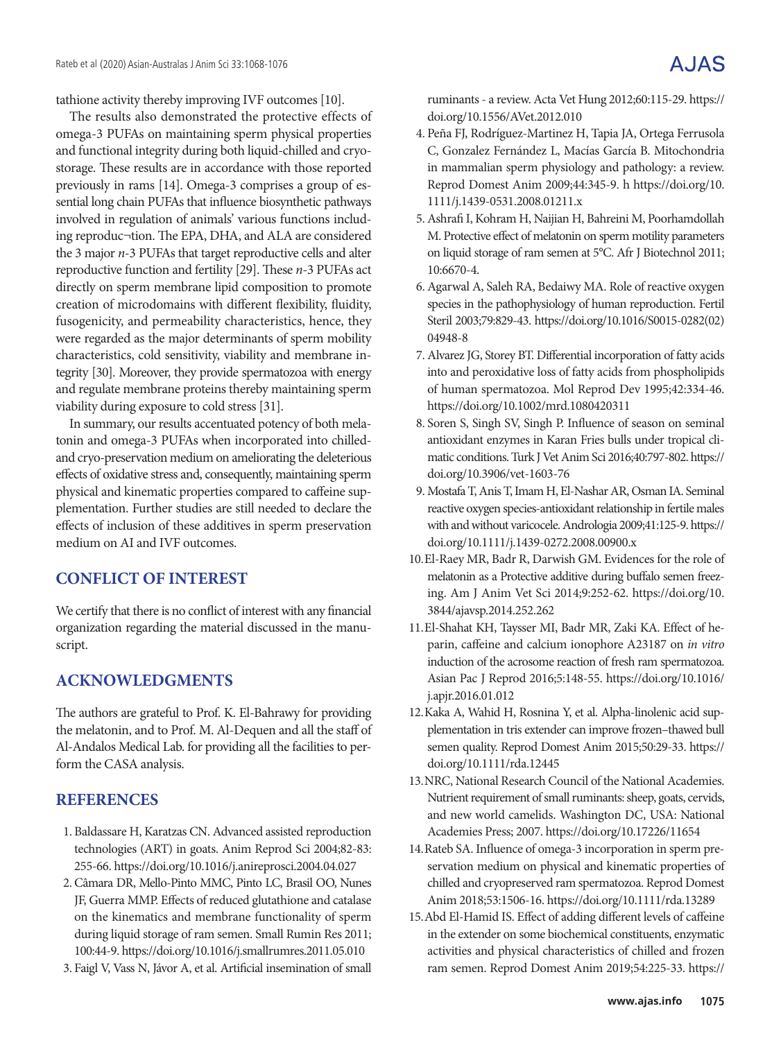tathione activity thereby improving IVF outcomes [10].

The results also demonstrated the protective effects of omega-3 PUFAs on maintaining sperm physical properties and functional integrity during both liquid-chilled and cryostorage. These results are in accordance with those reported previously in rams [14]. Omega-3 comprises a group of essential long chain PUFAs that influence biosynthetic pathways involved in regulation of animals' various functions including reproduc¬tion. The EPA, DHA, and ALA are considered the 3 major *n*-3 PUFAs that target reproductive cells and alter reproductive function and fertility [29]. These *n*-3 PUFAs act directly on sperm membrane lipid composition to promote creation of microdomains with different flexibility, fluidity, fusogenicity, and permeability characteristics, hence, they were regarded as the major determinants of sperm mobility characteristics, cold sensitivity, viability and membrane integrity [30]. Moreover, they provide spermatozoa with energy and regulate membrane proteins thereby maintaining sperm viability during exposure to cold stress [31].

In summary, our results accentuated potency of both melatonin and omega-3 PUFAs when incorporated into chilledand cryo-preservation medium on ameliorating the deleterious effects of oxidative stress and, consequently, maintaining sperm physical and kinematic properties compared to caffeine supplementation. Further studies are still needed to declare the effects of inclusion of these additives in sperm preservation medium on AI and IVF outcomes.

## **CONFLICT OF INTEREST**

We certify that there is no conflict of interest with any financial organization regarding the material discussed in the manuscript.

## **ACKNOWLEDGMENTS**

The authors are grateful to Prof. K. El-Bahrawy for providing the melatonin, and to Prof. M. Al-Dequen and all the staff of Al-Andalos Medical Lab. for providing all the facilities to perform the CASA analysis.

## **REFERENCES**

- 1. Baldassare H, Karatzas CN. Advanced assisted reproduction technologies (ART) in goats. Anim Reprod Sci 2004;82-83: 255-66. https://doi.org/10.1016/j.anireprosci.2004.04.027
- 2.Câmara DR, Mello-Pinto MMC, Pinto LC, Brasil OO, Nunes JF, Guerra MMP. Effects of reduced glutathione and catalase on the kinematics and membrane functionality of sperm during liquid storage of ram semen. Small Rumin Res 2011; 100:44-9. https://doi.org/10.1016/j.smallrumres.2011.05.010
- 3. Faigl V, Vass N, Jávor A, et al. Artificial insemination of small

ruminants - a review. Acta Vet Hung 2012;60:115-29. https:// doi.org/10.1556/AVet.2012.010

- 4. Peña FJ, Rodríguez-Martinez H, Tapia JA, Ortega Ferrusola C, Gonzalez Fernández L, Macías García B. Mitochondria in mammalian sperm physiology and pathology: a review. Reprod Domest Anim 2009;44:345-9. h https://doi.org/10. 1111/j.1439-0531.2008.01211.x
- 5.Ashrafi I, Kohram H, Naijian H, Bahreini M, Poorhamdollah M. Protective effect of melatonin on sperm motility parameters on liquid storage of ram semen at 5°C. Afr J Biotechnol 2011; 10:6670-4.
- 6.Agarwal A, Saleh RA, Bedaiwy MA. Role of reactive oxygen species in the pathophysiology of human reproduction. Fertil Steril 2003;79:829-43. https://doi.org/10.1016/S0015-0282(02) 04948-8
- 7.Alvarez JG, Storey BT. Differential incorporation of fatty acids into and peroxidative loss of fatty acids from phospholipids of human spermatozoa. Mol Reprod Dev 1995;42:334-46. https://doi.org/10.1002/mrd.1080420311
- 8. Soren S, Singh SV, Singh P. Influence of season on seminal antioxidant enzymes in Karan Fries bulls under tropical climatic conditions. Turk J Vet Anim Sci 2016;40:797-802. https:// doi.org/10.3906/vet-1603-76
- 9. Mostafa T, Anis T, Imam H, El-Nashar AR, Osman IA. Seminal reactive oxygen species‐antioxidant relationship in fertile males with and without varicocele. Andrologia 2009;41:125-9. https:// doi.org/10.1111/j.1439-0272.2008.00900.x
- 10.El-Raey MR, Badr R, Darwish GM. Evidences for the role of melatonin as a Protective additive during buffalo semen freezing. Am J Anim Vet Sci 2014;9:252-62. https://doi.org/10. 3844/ajavsp.2014.252.262
- 11.El-Shahat KH, Taysser MI, Badr MR, Zaki KA. Effect of heparin, caffeine and calcium ionophore A23187 on *in vitro*  induction of the acrosome reaction of fresh ram spermatozoa. Asian Pac J Reprod 2016;5:148-55. https://doi.org/10.1016/ j.apjr.2016.01.012
- 12.Kaka A, Wahid H, Rosnina Y, et al. Alpha-linolenic acid supplementation in tris extender can improve frozen–thawed bull semen quality. Reprod Domest Anim 2015;50:29-33. https:// doi.org/10.1111/rda.12445
- 13.NRC, National Research Council of the National Academies. Nutrient requirement of small ruminants: sheep, goats, cervids, and new world camelids. Washington DC, USA: National Academies Press; 2007. https://doi.org/10.17226/11654
- 14.Rateb SA. Influence of omega-3 incorporation in sperm preservation medium on physical and kinematic properties of chilled and cryopreserved ram spermatozoa. Reprod Domest Anim 2018;53:1506-16. https://doi.org/10.1111/rda.13289
- 15.Abd El-Hamid IS. Effect of adding different levels of caffeine in the extender on some biochemical constituents, enzymatic activities and physical characteristics of chilled and frozen ram semen. Reprod Domest Anim 2019;54:225-33. https://